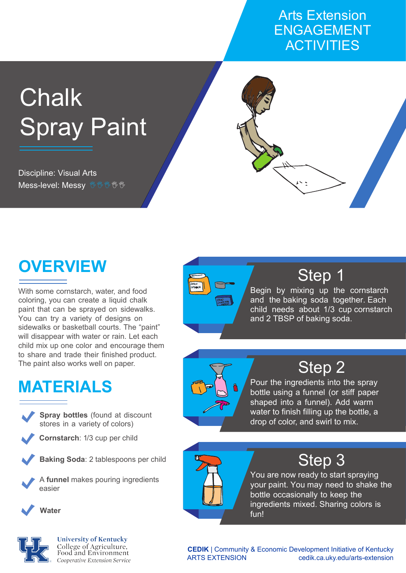#### Arts Extension ENGAGEMENT **ACTIVITIES**

# **Chalk Spray Paint**

Discipline: Visual Arts Mess-level: Messy <sup>99999</sup> <sup>99</sup>



With some cornstarch, water, and food coloring, you can create a liquid chalk paint that can be sprayed on sidewalks. You can try a variety of designs on sidewalks or basketball courts. The "paint" will disappear with water or rain. Let each child mix up one color and encourage them to share and trade their finished product. The paint also works well on paper.

# **MATERIALS**





**Cornstarch**: 1/3 cup per child

**Baking Soda**: 2 tablespoons per child

A **funnel** makes pouring ingredients easier





**University of Kentucky** College of Agriculture,<br>Food and Environment Cooperative Extension Service





Begin by mixing up the cornstarch and the baking soda together. Each child needs about 1/3 cup cornstarch and 2 TBSP of baking soda.



## Step 2

Pour the ingredients into the spray bottle using a funnel (or stiff paper shaped into a funnel). Add warm water to finish filling up the bottle, a drop of color, and swirl to mix.



### Step 3

You are now ready to start spraying your paint. You may need to shake the bottle occasionally to keep the ingredients mixed. Sharing colors is fun!

**CEDIK** | Community & Economic Development Initiative of Kentucky ARTS EXTENSION cedik.ca.uky.edu/arts-extension